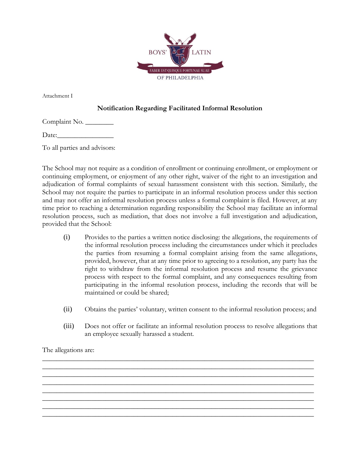

Attachment I

## **Notification Regarding Facilitated Informal Resolution**

Complaint No. \_\_\_\_\_\_\_\_\_

Date:

To all parties and advisors:

The School may not require as a condition of enrollment or continuing enrollment, or employment or continuing employment, or enjoyment of any other right, waiver of the right to an investigation and adjudication of formal complaints of sexual harassment consistent with this section. Similarly, the School may not require the parties to participate in an informal resolution process under this section and may not offer an informal resolution process unless a formal complaint is filed. However, at any time prior to reaching a determination regarding responsibility the School may facilitate an informal resolution process, such as mediation, that does not involve a full investigation and adjudication, provided that the School:

- (i) Provides to the parties a written notice disclosing: the allegations, the requirements of the informal resolution process including the circumstances under which it precludes the parties from resuming a formal complaint arising from the same allegations, provided, however, that at any time prior to agreeing to a resolution, any party has the right to withdraw from the informal resolution process and resume the grievance process with respect to the formal complaint, and any consequences resulting from participating in the informal resolution process, including the records that will be maintained or could be shared;
- (ii) Obtains the parties' voluntary, written consent to the informal resolution process; and
- (iii) Does not offer or facilitate an informal resolution process to resolve allegations that an employee sexually harassed a student.

\_\_\_\_\_\_\_\_\_\_\_\_\_\_\_\_\_\_\_\_\_\_\_\_\_\_\_\_\_\_\_\_\_\_\_\_\_\_\_\_\_\_\_\_\_\_\_\_\_\_\_\_\_\_\_\_\_\_\_\_\_\_\_\_\_\_\_\_\_\_\_\_\_\_\_\_\_ \_\_\_\_\_\_\_\_\_\_\_\_\_\_\_\_\_\_\_\_\_\_\_\_\_\_\_\_\_\_\_\_\_\_\_\_\_\_\_\_\_\_\_\_\_\_\_\_\_\_\_\_\_\_\_\_\_\_\_\_\_\_\_\_\_\_\_\_\_\_\_\_\_\_\_\_\_ \_\_\_\_\_\_\_\_\_\_\_\_\_\_\_\_\_\_\_\_\_\_\_\_\_\_\_\_\_\_\_\_\_\_\_\_\_\_\_\_\_\_\_\_\_\_\_\_\_\_\_\_\_\_\_\_\_\_\_\_\_\_\_\_\_\_\_\_\_\_\_\_\_\_\_\_\_ \_\_\_\_\_\_\_\_\_\_\_\_\_\_\_\_\_\_\_\_\_\_\_\_\_\_\_\_\_\_\_\_\_\_\_\_\_\_\_\_\_\_\_\_\_\_\_\_\_\_\_\_\_\_\_\_\_\_\_\_\_\_\_\_\_\_\_\_\_\_\_\_\_\_\_\_\_ \_\_\_\_\_\_\_\_\_\_\_\_\_\_\_\_\_\_\_\_\_\_\_\_\_\_\_\_\_\_\_\_\_\_\_\_\_\_\_\_\_\_\_\_\_\_\_\_\_\_\_\_\_\_\_\_\_\_\_\_\_\_\_\_\_\_\_\_\_\_\_\_\_\_\_\_\_ \_\_\_\_\_\_\_\_\_\_\_\_\_\_\_\_\_\_\_\_\_\_\_\_\_\_\_\_\_\_\_\_\_\_\_\_\_\_\_\_\_\_\_\_\_\_\_\_\_\_\_\_\_\_\_\_\_\_\_\_\_\_\_\_\_\_\_\_\_\_\_\_\_\_\_\_\_ \_\_\_\_\_\_\_\_\_\_\_\_\_\_\_\_\_\_\_\_\_\_\_\_\_\_\_\_\_\_\_\_\_\_\_\_\_\_\_\_\_\_\_\_\_\_\_\_\_\_\_\_\_\_\_\_\_\_\_\_\_\_\_\_\_\_\_\_\_\_\_\_\_\_\_\_\_ \_\_\_\_\_\_\_\_\_\_\_\_\_\_\_\_\_\_\_\_\_\_\_\_\_\_\_\_\_\_\_\_\_\_\_\_\_\_\_\_\_\_\_\_\_\_\_\_\_\_\_\_\_\_\_\_\_\_\_\_\_\_\_\_\_\_\_\_\_\_\_\_\_\_\_\_\_

The allegations are: